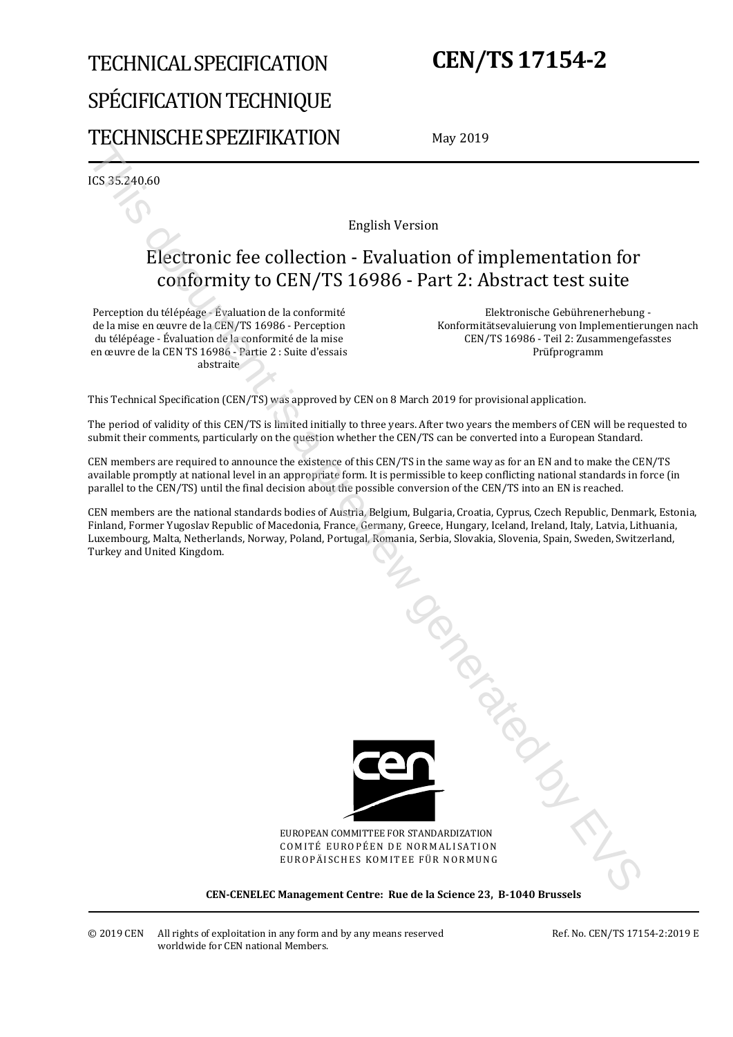# TECHNICAL SPECIFICATION SPÉCIFICATION TECHNIQUE TECHNISCHE SPEZIFIKATION

# **CEN/TS 17154-2**

May 2019

ICS 35.240.60

English Version

# Electronic fee collection - Evaluation of implementation for conformity to CEN/TS 16986 - Part 2: Abstract test suite

Perception du télépéage - Évaluation de la conformité de la mise en œuvre de la CEN/TS 16986 - Perception du télépéage - Évaluation de la conformité de la mise en œuvre de la CEN TS 16986 - Partie 2 : Suite d'essais abstraite

 Elektronische Gebührenerhebung - Konformitätsevaluierung von Implementierungen nach CEN/TS 16986 - Teil 2: Zusammengefasstes Prüfprogramm

This Technical Specification (CEN/TS) was approved by CEN on 8 March 2019 for provisional application.

The period of validity of this CEN/TS is limited initially to three years. After two years the members of CEN will be requested to submit their comments, particularly on the question whether the CEN/TS can be converted into a European Standard.

CEN members are required to announce the existence of this CEN/TS in the same way as for an EN and to make the CEN/TS available promptly at national level in an appropriate form. It is permissible to keep conflicting national standards in force (in parallel to the CEN/TS) until the final decision about the possible conversion of the CEN/TS into an EN is reached.

CEN members are the national standards bodies of Austria, Belgium, Bulgaria, Croatia, Cyprus, Czech Republic, Denmark, Estonia, Finland, Former Yugoslav Republic of Macedonia, France, Germany, Greece, Hungary, Iceland, Ireland, Italy, Latvia, Lithuania, Luxembourg, Malta, Netherlands, Norway, Poland, Portugal, Romania, Serbia, Slovakia, Slovenia, Spain, Sweden, Switzerland, Turkey and United Kingdom.



EUROPEAN COMMITTEE FOR STANDARDIZATION COMITÉ EUROPÉEN DE NORMALISATION EUROPÄISCHES KOMITEE FÜR NORMUNG

**CEN-CENELEC Management Centre: Rue de la Science 23, B-1040 Brussels**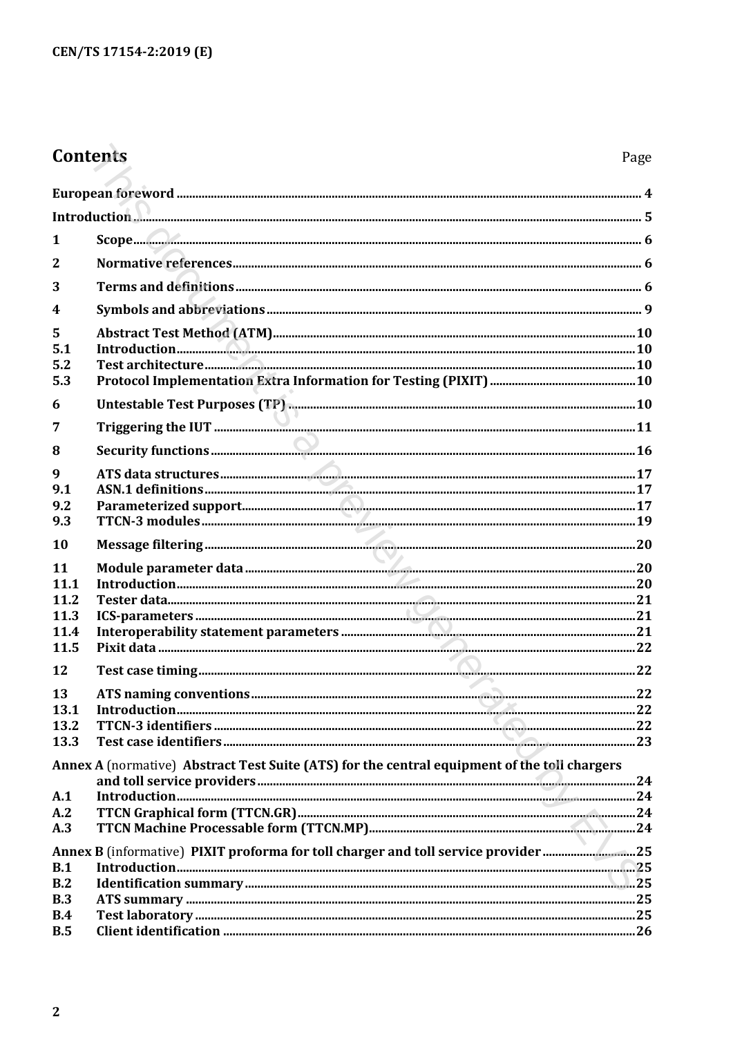# Contents

| $\mathbf{1}$            |                                                                                              |  |
|-------------------------|----------------------------------------------------------------------------------------------|--|
| $\overline{2}$          |                                                                                              |  |
| 3                       |                                                                                              |  |
| $\overline{\mathbf{4}}$ |                                                                                              |  |
| 5<br>5.1<br>5.2<br>5.3  |                                                                                              |  |
| 6                       |                                                                                              |  |
| 7                       |                                                                                              |  |
| 8                       |                                                                                              |  |
| 9                       |                                                                                              |  |
| 9.1                     |                                                                                              |  |
| 9.2<br>9.3              |                                                                                              |  |
| 10                      |                                                                                              |  |
| 11                      |                                                                                              |  |
| 11.1                    |                                                                                              |  |
| 11.2<br>11.3            |                                                                                              |  |
| 11.4                    |                                                                                              |  |
| 11.5                    |                                                                                              |  |
| 12                      |                                                                                              |  |
| 13                      |                                                                                              |  |
| 13.1                    |                                                                                              |  |
| 13.2                    |                                                                                              |  |
| 13.3                    | Annex A (normative) Abstract Test Suite (ATS) for the central equipment of the toll chargers |  |
| A.1                     |                                                                                              |  |
| A.2                     |                                                                                              |  |
| A.3                     |                                                                                              |  |
|                         | Annex B (informative) PIXIT proforma for toll charger and toll service provider25            |  |
| B.1                     |                                                                                              |  |
| B.2                     |                                                                                              |  |
| B.3                     |                                                                                              |  |
| B.4                     |                                                                                              |  |
| B.5                     |                                                                                              |  |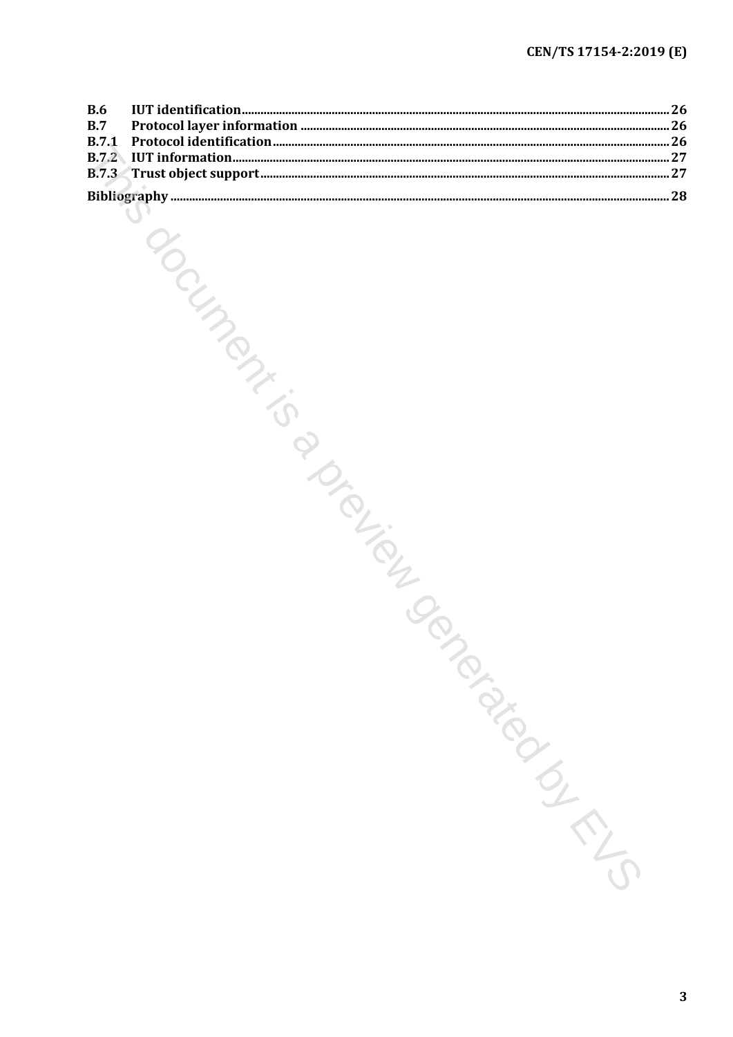| <b>B.6</b>                   |             |  |
|------------------------------|-------------|--|
| B.7                          |             |  |
| <b>B.7.1</b><br><b>B.7.2</b> |             |  |
| <b>B.7.3</b>                 |             |  |
|                              |             |  |
|                              |             |  |
|                              |             |  |
|                              | Independent |  |
|                              |             |  |
|                              |             |  |
|                              |             |  |
|                              |             |  |
|                              |             |  |
|                              |             |  |
|                              |             |  |
|                              |             |  |
|                              |             |  |
|                              |             |  |
|                              |             |  |
|                              |             |  |
|                              |             |  |
|                              |             |  |
|                              |             |  |
|                              |             |  |
|                              |             |  |
|                              | DISCONSION  |  |
|                              |             |  |
|                              |             |  |
|                              |             |  |
|                              |             |  |
|                              |             |  |
|                              |             |  |
|                              |             |  |
|                              |             |  |
|                              |             |  |
|                              |             |  |
|                              |             |  |
|                              |             |  |
|                              |             |  |
|                              | Parazionial |  |
|                              |             |  |
|                              |             |  |
|                              |             |  |
|                              |             |  |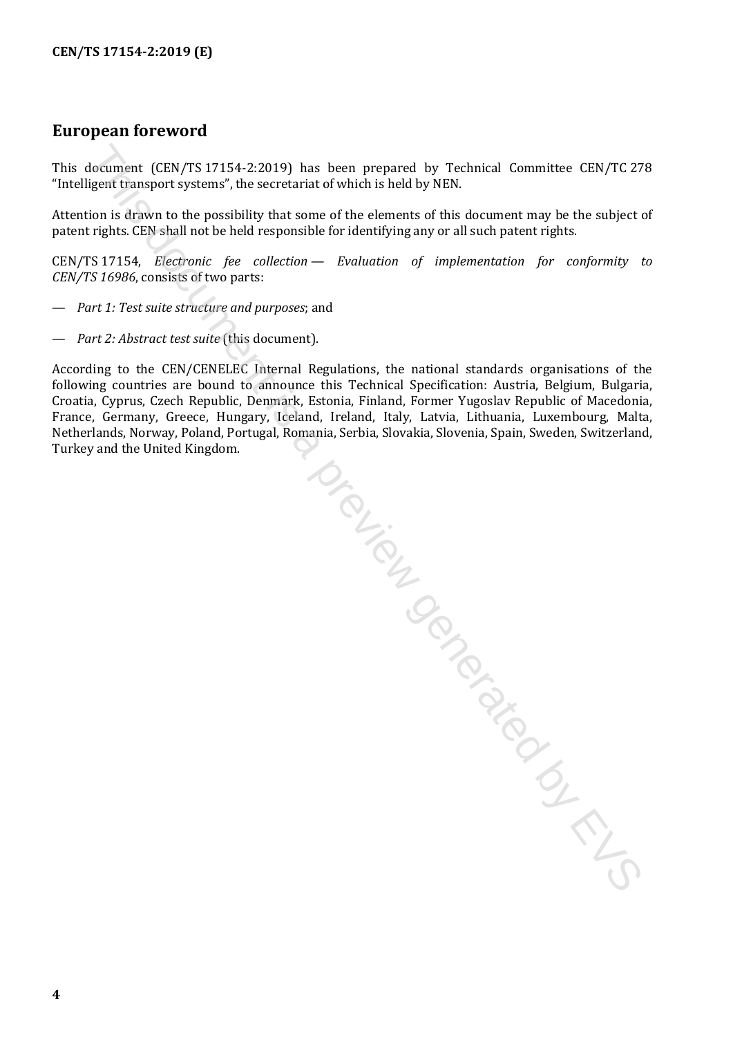## <span id="page-3-0"></span>**European foreword**

This document (CEN/TS 17154-2:2019) has been prepared by Technical Committee CEN/TC 278 "Intelligent transport systems", the secretariat of which is held by NEN.

Attention is drawn to the possibility that some of the elements of this document may be the subject of patent rights. CEN shall not be held responsible for identifying any or all such patent rights.

CEN/TS 17154, *Electronic fee collection — Evaluation of implementation for conformity to CEN/TS 16986*, consists of two parts:

- *Part 1: Test suite structure and purposes*; and
- *Part 2: Abstract test suite* (this document).

According to the CEN/CENELEC Internal Regulations, the national standards organisations of the following countries are bound to announce this Technical Specification: Austria, Belgium, Bulgaria, Croatia, Cyprus, Czech Republic, Denmark, Estonia, Finland, Former Yugoslav Republic of Macedonia, Croatia, Cyprus, Czech Republic, Denmark, Estonia, Finland, Former Yugoslav Republic of Macedonia, France, Germany, Greece, Hungary, Iceland, Ireland, Italy, Latvia, Lithuania, Luxembourg, Malta, Netherlands, Norway, Poland, Portugal, Romania, Serbia, Slovakia, Slovenia, Spain, Sweden, Switzerland, Turkey and the United Kingdom.

document (CEN/TS 1715+2:2019) has been prepared by Technical Committee CEN/TC 27<br>igent its apport systems", the secretariat of which is held by NEN.<br>Then is driven to the possibility that some of the elements of this docum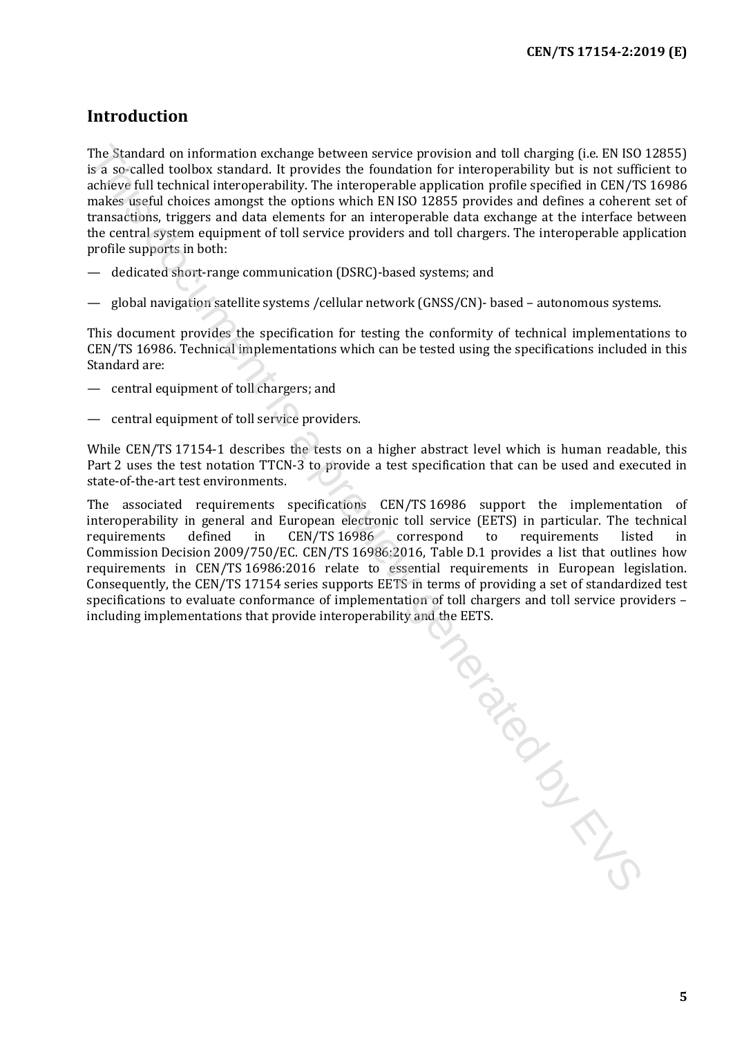#### <span id="page-4-0"></span>**Introduction**

The Standard on information exchange between service provision and toll charging (i.e. EN ISO 12855) is a so-called toolbox standard. It provides the foundation for interoperability but is not sufficient to achieve full technical interoperability. The interoperable application profile specified in CEN/TS 16986 makes useful choices amongst the options which EN ISO 12855 provides and defines a coherent set of transactions, triggers and data elements for an interoperable data exchange at the interface between the central system equipment of toll service providers and toll chargers. The interoperable application profile supports in both:

- dedicated short-range communication (DSRC)-based systems; and
- global navigation satellite systems /cellular network (GNSS/CN)- based autonomous systems.

This document provides the specification for testing the conformity of technical implementations to CEN/TS 16986. Technical implementations which can be tested using the specifications included in this Standard are:

- central equipment of toll chargers; and
- central equipment of toll service providers.

While CEN/TS 17154-1 describes the tests on a higher abstract level which is human readable, this Part 2 uses the test notation TTCN-3 to provide a test specification that can be used and executed in state-of-the-art test environments.

The associated requirements specifications CEN/TS 16986 support the implementation of interoperability in general and European electronic toll service (EETS) in particular. The technical requirements defined in CEN/TS 16986 correspond to requirements listed in requirements defined in CEN/TS 16986 correspond to requirements listed in Commission Decision 2009/750/EC. CEN/TS 16986:2016, Table D.1 provides a list that outlines how requirements in CEN/TS 16986:2016 relate to essential requirements in European legislation. Consequently, the CEN/TS 17154 series supports EETS in terms of providing a set of standardized test specifications to evaluate conformance of implementation of toll chargers and toll service providers – including implementations that provide interoperability and the EETS.

To donough is a previous crime